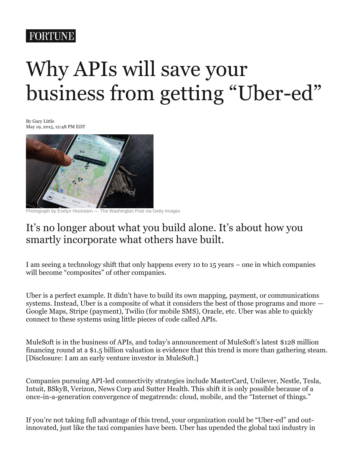## **FORTUNE**

# Why APIs will save your business from getting "Uber-ed"

By Gary Little May 19, 2015, 12:48 PM EDT



Photograph by Evelyn Hockstein — The Washington Post via Getty Images

## It's no longer about what you build alone. It's about how you smartly incorporate what others have built.

I am seeing a technology shift that only happens every 10 to 15 years – one in which companies will become "composites" of other companies.

Uber is a perfect example. It didn't have to build its own mapping, payment, or communications systems. Instead, Uber is a composite of what it considers the best of those programs and more — Google Maps, Stripe (payment), Twilio (for mobile SMS), Oracle, etc. Uber was able to quickly connect to these systems using little pieces of code called APIs.

MuleSoft is in the business of APIs, and today's announcement of MuleSoft's latest \$128 million financing round at a \$1.5 billion valuation is evidence that this trend is more than gathering steam. [Disclosure: I am an early venture investor in MuleSoft.]

Companies pursuing API-led connectivity strategies include MasterCard, Unilever, Nestle, Tesla, Intuit, BSkyB, Verizon, News Corp and Sutter Health. This shift it is only possible because of a once-in-a-generation convergence of megatrends: cloud, mobile, and the "Internet of things."

If you're not taking full advantage of this trend, your organization could be "Uber-ed" and outinnovated, just like the taxi companies have been. Uber has upended the global taxi industry in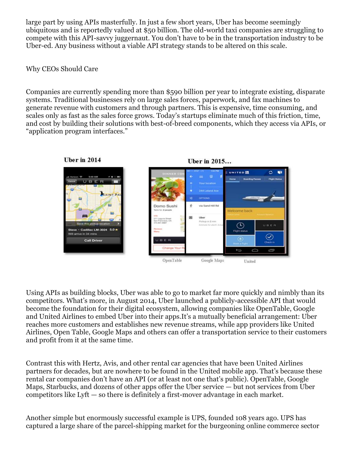large part by using APIs masterfully. In just a few short years, Uber has become seemingly ubiquitous and is reportedly valued at \$50 billion. The old-world taxi companies are struggling to compete with this API-savvy juggernaut. You don't have to be in the transportation industry to be Uber-ed. Any business without a viable API strategy stands to be altered on this scale.

#### Why CEOs Should Care

Companies are currently spending more than \$590 billion per year to integrate existing, disparate systems. Traditional businesses rely on large sales forces, paperwork, and fax machines to generate revenue with customers and through partners. This is expensive, time consuming, and scales only as fast as the sales force grows. Today's startups eliminate much of this friction, time, and cost by building their solutions with best-of-breed components, which they access via APIs, or "application program interfaces."



Using APIs as building blocks, Uber was able to go to market far more quickly and nimbly than its competitors. What's more, in August 2014, Uber launched a publicly-accessible API that would become the foundation for their digital ecosystem, allowing companies like OpenTable, Google and United Airlines to embed Uber into their apps.It's a mutually beneficial arrangement: Uber reaches more customers and establishes new revenue streams, while app providers like United Airlines, Open Table, Google Maps and others can offer a transportation service to their customers and profit from it at the same time.

Contrast this with Hertz, Avis, and other rental car agencies that have been United Airlines partners for decades, but are nowhere to be found in the United mobile app. That's because these rental car companies don't have an API (or at least not one that's public). OpenTable, Google Maps, Starbucks, and dozens of other apps offer the Uber service — but not services from Uber competitors like Lyft — so there is definitely a first-mover advantage in each market.

Another simple but enormously successful example is UPS, founded 108 years ago. UPS has captured a large share of the parcel-shipping market for the burgeoning online commerce sector